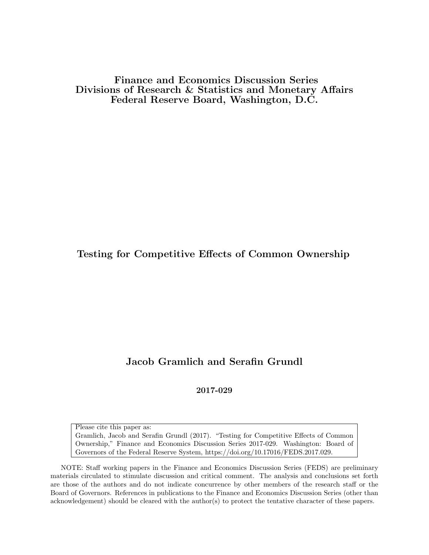Finance and Economics Discussion Series Divisions of Research & Statistics and Monetary Affairs Federal Reserve Board, Washington, D.C.

Testing for Competitive Effects of Common Ownership

## Jacob Gramlich and Serafin Grundl

2017-029

Please cite this paper as: Gramlich, Jacob and Serafin Grundl (2017). "Testing for Competitive Effects of Common Ownership," Finance and Economics Discussion Series 2017-029. Washington: Board of Governors of the Federal Reserve System, https://doi.org/10.17016/FEDS.2017.029.

NOTE: Staff working papers in the Finance and Economics Discussion Series (FEDS) are preliminary materials circulated to stimulate discussion and critical comment. The analysis and conclusions set forth are those of the authors and do not indicate concurrence by other members of the research staff or the Board of Governors. References in publications to the Finance and Economics Discussion Series (other than acknowledgement) should be cleared with the author(s) to protect the tentative character of these papers.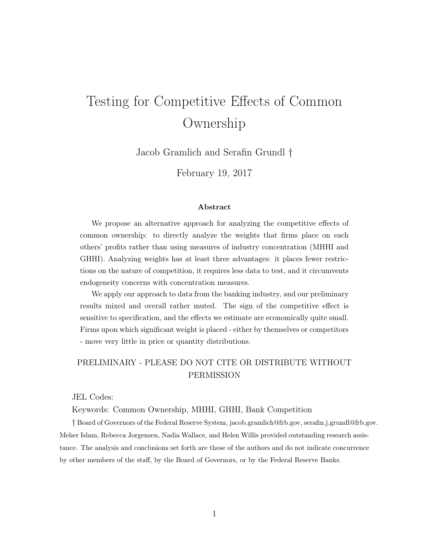# Testing for Competitive Effects of Common Ownership

Jacob Gramlich and Serafin Grundl †

February 19, 2017

#### Abstract

We propose an alternative approach for analyzing the competitive effects of common ownership: to directly analyze the weights that firms place on each others' profits rather than using measures of industry concentration (MHHI and GHHI). Analyzing weights has at least three advantages: it places fewer restrictions on the nature of competition, it requires less data to test, and it circumvents endogeneity concerns with concentration measures.

We apply our approach to data from the banking industry, and our preliminary results mixed and overall rather muted. The sign of the competitive effect is sensitive to specification, and the effects we estimate are economically quite small. Firms upon which significant weight is placed - either by themselves or competitors - move very little in price or quantity distributions.

#### PRELIMINARY - PLEASE DO NOT CITE OR DISTRIBUTE WITHOUT PERMISSION

JEL Codes:

Keywords: Common Ownership, MHHI, GHHI, Bank Competition

† Board of Governors of the Federal Reserve System, jacob.gramlich@frb.gov, serafin.j.grundl@frb.gov. Meher Islam, Rebecca Jorgensen, Nadia Wallace, and Helen Willis provided outstanding research assistance. The analysis and conclusions set forth are those of the authors and do not indicate concurrence by other members of the staff, by the Board of Governors, or by the Federal Reserve Banks.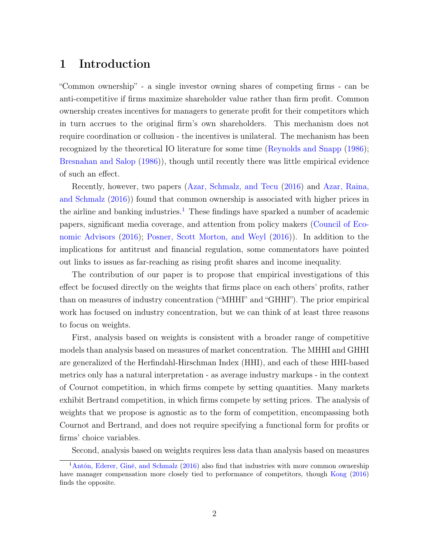# 1 Introduction

"Common ownership" - a single investor owning shares of competing firms - can be anti-competitive if firms maximize shareholder value rather than firm profit. Common ownership creates incentives for managers to generate profit for their competitors which in turn accrues to the original firm's own shareholders. This mechanism does not require coordination or collusion - the incentives is unilateral. The mechanism has been recognized by the theoretical IO literature for some time [\(Reynolds and Snapp](#page-21-0) [\(1986\)](#page-21-0); [Bresnahan and Salop](#page-20-0) [\(1986\)](#page-20-0)), though until recently there was little empirical evidence of such an effect.

Recently, however, two papers [\(Azar, Schmalz, and Tecu](#page-20-1) [\(2016\)](#page-20-1) and [Azar, Raina,](#page-20-2) [and Schmalz](#page-20-2) [\(2016\)](#page-20-2)) found that common ownership is associated with higher prices in the airline and banking industries.<sup>[1](#page-2-0)</sup> These findings have sparked a number of academic papers, significant media coverage, and attention from policy makers [\(Council of Eco](#page-20-3)[nomic Advisors](#page-20-3) [\(2016\)](#page-20-3); [Posner, Scott Morton, and Weyl](#page-21-1) [\(2016\)](#page-21-1)). In addition to the implications for antitrust and financial regulation, some commentators have pointed out links to issues as far-reaching as rising profit shares and income inequality.

The contribution of our paper is to propose that empirical investigations of this effect be focused directly on the weights that firms place on each others' profits, rather than on measures of industry concentration ("MHHI" and "GHHI"). The prior empirical work has focused on industry concentration, but we can think of at least three reasons to focus on weights.

First, analysis based on weights is consistent with a broader range of competitive models than analysis based on measures of market concentration. The MHHI and GHHI are generalized of the Herfindahl-Hirschman Index (HHI), and each of these HHI-based metrics only has a natural interpretation - as average industry markups - in the context of Cournot competition, in which firms compete by setting quantities. Many markets exhibit Bertrand competition, in which firms compete by setting prices. The analysis of weights that we propose is agnostic as to the form of competition, encompassing both Cournot and Bertrand, and does not require specifying a functional form for profits or firms' choice variables.

<span id="page-2-0"></span>Second, analysis based on weights requires less data than analysis based on measures

<sup>&</sup>lt;sup>1</sup>[Antón, Ederer, Giné, and Schmalz](#page-20-4) [\(2016\)](#page-20-4) also find that industries with more common ownership have manager compensation more closely tied to performance of competitors, though [Kong](#page-21-2) [\(2016\)](#page-21-2) finds the opposite.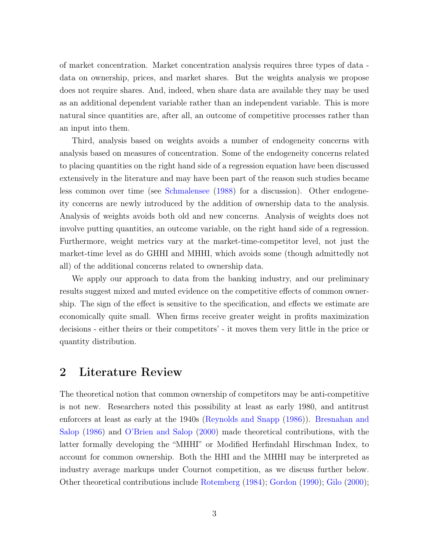of market concentration. Market concentration analysis requires three types of data data on ownership, prices, and market shares. But the weights analysis we propose does not require shares. And, indeed, when share data are available they may be used as an additional dependent variable rather than an independent variable. This is more natural since quantities are, after all, an outcome of competitive processes rather than an input into them.

Third, analysis based on weights avoids a number of endogeneity concerns with analysis based on measures of concentration. Some of the endogeneity concerns related to placing quantities on the right hand side of a regression equation have been discussed extensively in the literature and may have been part of the reason such studies became less common over time (see [Schmalensee](#page-22-0) [\(1988\)](#page-22-0) for a discussion). Other endogeneity concerns are newly introduced by the addition of ownership data to the analysis. Analysis of weights avoids both old and new concerns. Analysis of weights does not involve putting quantities, an outcome variable, on the right hand side of a regression. Furthermore, weight metrics vary at the market-time-competitor level, not just the market-time level as do GHHI and MHHI, which avoids some (though admittedly not all) of the additional concerns related to ownership data.

We apply our approach to data from the banking industry, and our preliminary results suggest mixed and muted evidence on the competitive effects of common ownership. The sign of the effect is sensitive to the specification, and effects we estimate are economically quite small. When firms receive greater weight in profits maximization decisions - either theirs or their competitors' - it moves them very little in the price or quantity distribution.

### 2 Literature Review

The theoretical notion that common ownership of competitors may be anti-competitive is not new. Researchers noted this possibility at least as early 1980, and antitrust enforcers at least as early at the 1940s [\(Reynolds and Snapp](#page-21-0) [\(1986\)](#page-21-0)). [Bresnahan and](#page-20-0) [Salop](#page-20-0) [\(1986\)](#page-20-0) and [O'Brien and Salop](#page-21-3) [\(2000\)](#page-21-3) made theoretical contributions, with the latter formally developing the "MHHI" or Modified Herfindahl Hirschman Index, to account for common ownership. Both the HHI and the MHHI may be interpreted as industry average markups under Cournot competition, as we discuss further below. Other theoretical contributions include [Rotemberg](#page-22-1) [\(1984\)](#page-22-1); [Gordon](#page-21-4) [\(1990\)](#page-21-4); [Gilo](#page-20-5) [\(2000\)](#page-20-5);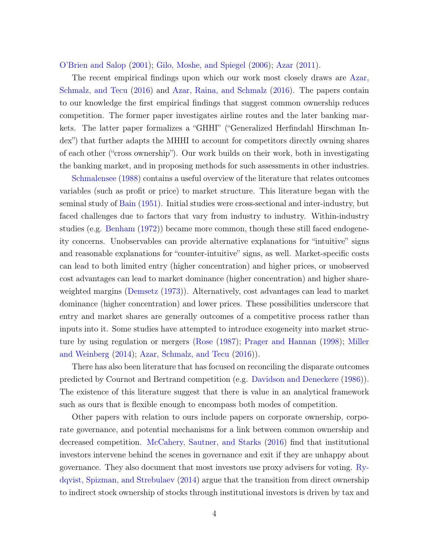[O'Brien and Salop](#page-21-5) [\(2001\)](#page-21-5); [Gilo, Moshe, and Spiegel](#page-21-6) [\(2006\)](#page-21-6); [Azar](#page-20-6) [\(2011\)](#page-20-6).

The recent empirical findings upon which our work most closely draws are [Azar,](#page-20-1) [Schmalz, and Tecu](#page-20-1) [\(2016\)](#page-20-1) and [Azar, Raina, and Schmalz](#page-20-2) [\(2016\)](#page-20-2). The papers contain to our knowledge the first empirical findings that suggest common ownership reduces competition. The former paper investigates airline routes and the later banking markets. The latter paper formalizes a "GHHI" ("Generalized Herfindahl Hirschman Index") that further adapts the MHHI to account for competitors directly owning shares of each other ("cross ownership"). Our work builds on their work, both in investigating the banking market, and in proposing methods for such assessments in other industries.

[Schmalensee](#page-22-0) [\(1988\)](#page-22-0) contains a useful overview of the literature that relates outcomes variables (such as profit or price) to market structure. This literature began with the seminal study of [Bain](#page-20-7) [\(1951\)](#page-20-7). Initial studies were cross-sectional and inter-industry, but faced challenges due to factors that vary from industry to industry. Within-industry studies (e.g. [Benham](#page-20-8) [\(1972\)](#page-20-8)) became more common, though these still faced endogeneity concerns. Unobservables can provide alternative explanations for "intuitive" signs and reasonable explanations for "counter-intuitive" signs, as well. Market-specific costs can lead to both limited entry (higher concentration) and higher prices, or unobserved cost advantages can lead to market dominance (higher concentration) and higher shareweighted margins [\(Demsetz](#page-20-9) [\(1973\)](#page-20-9)). Alternatively, cost advantages can lead to market dominance (higher concentration) and lower prices. These possibilities underscore that entry and market shares are generally outcomes of a competitive process rather than inputs into it. Some studies have attempted to introduce exogeneity into market structure by using regulation or mergers [\(Rose](#page-21-7) [\(1987\)](#page-21-7); [Prager and Hannan](#page-21-8) [\(1998\)](#page-21-8); [Miller](#page-21-9) [and Weinberg](#page-21-9) [\(2014\)](#page-21-9); [Azar, Schmalz, and Tecu](#page-20-1) [\(2016\)](#page-20-1)).

There has also been literature that has focused on reconciling the disparate outcomes predicted by Cournot and Bertrand competition (e.g. [Davidson and Deneckere](#page-20-10) [\(1986\)](#page-20-10)). The existence of this literature suggest that there is value in an analytical framework such as ours that is flexible enough to encompass both modes of competition.

Other papers with relation to ours include papers on corporate ownership, corporate governance, and potential mechanisms for a link between common ownership and decreased competition. [McCahery, Sautner, and Starks](#page-21-10) [\(2016\)](#page-21-10) find that institutional investors intervene behind the scenes in governance and exit if they are unhappy about governance. They also document that most investors use proxy advisers for voting. [Ry](#page-22-2)[dqvist, Spizman, and Strebulaev](#page-22-2) [\(2014\)](#page-22-2) argue that the transition from direct ownership to indirect stock ownership of stocks through institutional investors is driven by tax and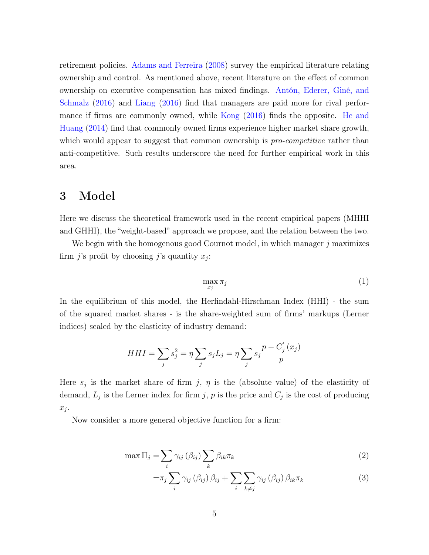retirement policies. [Adams and Ferreira](#page-20-11) [\(2008\)](#page-20-11) survey the empirical literature relating ownership and control. As mentioned above, recent literature on the effect of common ownership on executive compensation has mixed findings. [Antón, Ederer, Giné, and](#page-20-4) [Schmalz](#page-20-4) [\(2016\)](#page-20-4) and [Liang](#page-21-11) [\(2016\)](#page-21-11) find that managers are paid more for rival performance if firms are commonly owned, while [Kong](#page-21-2) [\(2016\)](#page-21-2) finds the opposite. [He and](#page-21-12) [Huang](#page-21-12) [\(2014\)](#page-21-12) find that commonly owned firms experience higher market share growth, which would appear to suggest that common ownership is *pro-competitive* rather than anti-competitive. Such results underscore the need for further empirical work in this area.

#### 3 Model

Here we discuss the theoretical framework used in the recent empirical papers (MHHI and GHHI), the "weight-based" approach we propose, and the relation between the two.

We begin with the homogenous good Cournot model, in which manager  $j$  maximizes firm *j*'s profit by choosing *j*'s quantity  $x_j$ :

<span id="page-5-0"></span>
$$
\max_{x_j} \pi_j \tag{1}
$$

In the equilibrium of this model, the Herfindahl-Hirschman Index (HHI) - the sum of the squared market shares - is the share-weighted sum of firms' markups (Lerner indices) scaled by the elasticity of industry demand:

$$
HHI = \sum_{j} s_j^2 = \eta \sum_{j} s_j L_j = \eta \sum_{j} s_j \frac{p - C'_j(x_j)}{p}
$$

Here  $s_j$  is the market share of firm j,  $\eta$  is the (absolute value) of the elasticity of demand,  $L_j$  is the Lerner index for firm j, p is the price and  $C_j$  is the cost of producing  $x_j$ .

Now consider a more general objective function for a firm:

$$
\max \Pi_j = \sum_i \gamma_{ij} (\beta_{ij}) \sum_k \beta_{ik} \pi_k \tag{2}
$$

<span id="page-5-1"></span>
$$
=\pi_j \sum_i \gamma_{ij} (\beta_{ij}) \beta_{ij} + \sum_i \sum_{k \neq j} \gamma_{ij} (\beta_{ij}) \beta_{ik} \pi_k
$$
\n(3)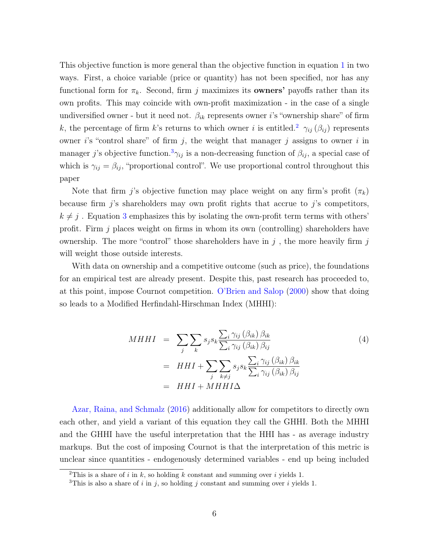This objective function is more general than the objective function in equation [1](#page-5-0) in two ways. First, a choice variable (price or quantity) has not been specified, nor has any functional form for  $\pi_k$ . Second, firm j maximizes its **owners'** payoffs rather than its own profits. This may coincide with own-profit maximization - in the case of a single undiversified owner - but it need not.  $\beta_{ik}$  represents owner *i*'s "ownership share" of firm k, the percentage of firm k's returns to which owner i is entitled.<sup>[2](#page-6-0)</sup>  $\gamma_{ij}(\beta_{ij})$  represents owner i's "control share" of firm  $j$ , the weight that manager  $j$  assigns to owner i in manager j's objective function.<sup>[3](#page-6-1)</sup> $\gamma_{ij}$  is a non-decreasing function of  $\beta_{ij}$ , a special case of which is  $\gamma_{ij} = \beta_{ij}$ , "proportional control". We use proportional control throughout this paper

Note that firm j's objective function may place weight on any firm's profit  $(\pi_k)$ because firm  $j$ 's shareholders may own profit rights that accrue to  $j$ 's competitors,  $k \neq j$ . Equation [3](#page-5-1) emphasizes this by isolating the own-profit term terms with others' profit. Firm  $j$  places weight on firms in whom its own (controlling) shareholders have ownership. The more "control" those shareholders have in  $j$ , the more heavily firm  $j$ will weight those outside interests.

With data on ownership and a competitive outcome (such as price), the foundations for an empirical test are already present. Despite this, past research has proceeded to, at this point, impose Cournot competition. [O'Brien and Salop](#page-21-3) [\(2000\)](#page-21-3) show that doing so leads to a Modified Herfindahl-Hirschman Index (MHHI):

$$
MHHI = \sum_{j} \sum_{k} s_{j} s_{k} \frac{\sum_{i} \gamma_{ij} (\beta_{ik}) \beta_{ik}}{\sum_{i} \gamma_{ij} (\beta_{ik}) \beta_{ij}} \\
= HHI + \sum_{j} \sum_{k \neq j} s_{j} s_{k} \frac{\sum_{i} \gamma_{ij} (\beta_{ik}) \beta_{ik}}{\sum_{i} \gamma_{ij} (\beta_{ik}) \beta_{ij}} \\
= HHI + MHHI\Delta
$$
\n(4)

[Azar, Raina, and Schmalz](#page-20-2) [\(2016\)](#page-20-2) additionally allow for competitors to directly own each other, and yield a variant of this equation they call the GHHI. Both the MHHI and the GHHI have the useful interpretation that the HHI has - as average industry markups. But the cost of imposing Cournot is that the interpretation of this metric is unclear since quantities - endogenously determined variables - end up being included

<span id="page-6-0"></span><sup>&</sup>lt;sup>2</sup>This is a share of i in k, so holding k constant and summing over i yields 1.

<span id="page-6-1"></span><sup>&</sup>lt;sup>3</sup>This is also a share of i in j, so holding j constant and summing over i yields 1.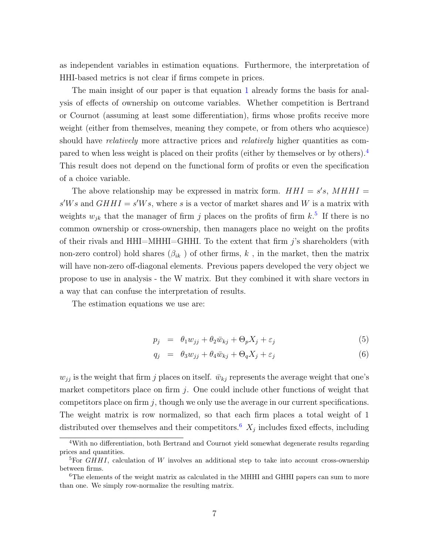as independent variables in estimation equations. Furthermore, the interpretation of HHI-based metrics is not clear if firms compete in prices.

The main insight of our paper is that equation [1](#page-5-0) already forms the basis for analysis of effects of ownership on outcome variables. Whether competition is Bertrand or Cournot (assuming at least some differentiation), firms whose profits receive more weight (either from themselves, meaning they compete, or from others who acquiesce) should have *relatively* more attractive prices and *relatively* higher quantities as compared to when less weight is placed on their profits (either by themselves or by others).[4](#page-7-0) This result does not depend on the functional form of profits or even the specification of a choice variable.

The above relationship may be expressed in matrix form.  $HHI = s's$ ,  $MHHI =$  $s'Ws$  and  $GHHI = s'Ws$ , where s is a vector of market shares and W is a matrix with weights  $w_{jk}$  that the manager of firm j places on the profits of firm  $k$ <sup>[5](#page-7-1)</sup>. If there is no common ownership or cross-ownership, then managers place no weight on the profits of their rivals and  $HHI=HHHI=GHHI$ . To the extent that firm j's shareholders (with non-zero control) hold shares  $(\beta_{ik})$  of other firms, k, in the market, then the matrix will have non-zero off-diagonal elements. Previous papers developed the very object we propose to use in analysis - the W matrix. But they combined it with share vectors in a way that can confuse the interpretation of results.

The estimation equations we use are:

<span id="page-7-3"></span>
$$
p_j = \theta_1 w_{jj} + \theta_2 \bar{w}_{kj} + \Theta_p X_j + \varepsilon_j \tag{5}
$$

$$
q_j = \theta_3 w_{jj} + \theta_4 \bar{w}_{kj} + \Theta_q X_j + \varepsilon_j \tag{6}
$$

 $w_{jj}$  is the weight that firm j places on itself.  $\bar{w}_{kj}$  represents the average weight that one's market competitors place on firm  $j$ . One could include other functions of weight that competitors place on firm  $j$ , though we only use the average in our current specifications. The weight matrix is row normalized, so that each firm places a total weight of 1 distributed over themselves and their competitors.<sup>[6](#page-7-2)</sup>  $X_j$  includes fixed effects, including

<span id="page-7-0"></span><sup>4</sup>With no differentiation, both Bertrand and Cournot yield somewhat degenerate results regarding prices and quantities.

<span id="page-7-1"></span><sup>&</sup>lt;sup>5</sup>For *GHHI*, calculation of W involves an additional step to take into account cross-ownership between firms.

<span id="page-7-2"></span><sup>&</sup>lt;sup>6</sup>The elements of the weight matrix as calculated in the MHHI and GHHI papers can sum to more than one. We simply row-normalize the resulting matrix.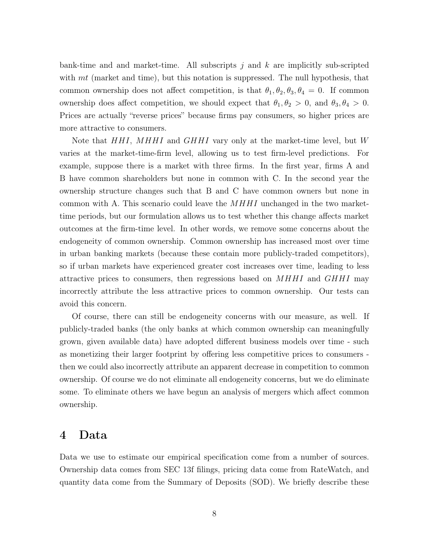bank-time and and market-time. All subscripts  $j$  and  $k$  are implicitly sub-scripted with  $mt$  (market and time), but this notation is suppressed. The null hypothesis, that common ownership does not affect competition, is that  $\theta_1, \theta_2, \theta_3, \theta_4 = 0$ . If common ownership does affect competition, we should expect that  $\theta_1, \theta_2 > 0$ , and  $\theta_3, \theta_4 > 0$ . Prices are actually "reverse prices" because firms pay consumers, so higher prices are more attractive to consumers.

Note that HHI, MHHI and GHHI vary only at the market-time level, but W varies at the market-time-firm level, allowing us to test firm-level predictions. For example, suppose there is a market with three firms. In the first year, firms A and B have common shareholders but none in common with C. In the second year the ownership structure changes such that B and C have common owners but none in common with A. This scenario could leave the  $MHHI$  unchanged in the two markettime periods, but our formulation allows us to test whether this change affects market outcomes at the firm-time level. In other words, we remove some concerns about the endogeneity of common ownership. Common ownership has increased most over time in urban banking markets (because these contain more publicly-traded competitors), so if urban markets have experienced greater cost increases over time, leading to less attractive prices to consumers, then regressions based on  $MHHI$  and  $GHHI$  may incorrectly attribute the less attractive prices to common ownership. Our tests can avoid this concern.

Of course, there can still be endogeneity concerns with our measure, as well. If publicly-traded banks (the only banks at which common ownership can meaningfully grown, given available data) have adopted different business models over time - such as monetizing their larger footprint by offering less competitive prices to consumers then we could also incorrectly attribute an apparent decrease in competition to common ownership. Of course we do not eliminate all endogeneity concerns, but we do eliminate some. To eliminate others we have begun an analysis of mergers which affect common ownership.

#### 4 Data

Data we use to estimate our empirical specification come from a number of sources. Ownership data comes from SEC 13f filings, pricing data come from RateWatch, and quantity data come from the Summary of Deposits (SOD). We briefly describe these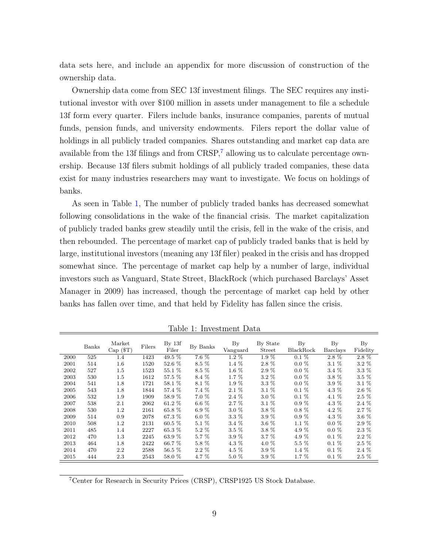data sets here, and include an appendix for more discussion of construction of the ownership data.

Ownership data come from SEC 13f investment filings. The SEC requires any institutional investor with over \$100 million in assets under management to file a schedule 13f form every quarter. Filers include banks, insurance companies, parents of mutual funds, pension funds, and university endowments. Filers report the dollar value of holdings in all publicly traded companies. Shares outstanding and market cap data are available from the 13f filings and from  $CRSP<sub>i</sub><sup>7</sup>$  $CRSP<sub>i</sub><sup>7</sup>$  $CRSP<sub>i</sub><sup>7</sup>$  allowing us to calculate percentage ownership. Because 13f filers submit holdings of all publicly traded companies, these data exist for many industries researchers may want to investigate. We focus on holdings of banks.

As seen in Table [1,](#page-9-1) The number of publicly traded banks has decreased somewhat following consolidations in the wake of the financial crisis. The market capitalization of publicly traded banks grew steadily until the crisis, fell in the wake of the crisis, and then rebounded. The percentage of market cap of publicly traded banks that is held by large, institutional investors (meaning any 13f filer) peaked in the crisis and has dropped somewhat since. The percentage of market cap help by a number of large, individual investors such as Vanguard, State Street, BlackRock (which purchased Barclays' Asset Manager in 2009) has increased, though the percentage of market cap held by other banks has fallen over time, and that held by Fidelity has fallen since the crisis.

|      | Banks | Market<br>$Cap($ $T)$ | Filers | By <sub>13f</sub><br>Filer | By Banks | By<br>Vanguard | By State<br>Street | $\mathbf{B}\mathbf{y}$<br>BlackRock | $\rm\,By$<br><b>Barclays</b> | $\rm\,By$<br>Fidelity |
|------|-------|-----------------------|--------|----------------------------|----------|----------------|--------------------|-------------------------------------|------------------------------|-----------------------|
| 2000 | 525   | 1.4                   | 1423   | $49.5\%$                   | $7.6\%$  | $1.2\%$        | $1.9\%$            | $0.1\%$                             | $2.8\%$                      | $2.8\%$               |
| 2001 | 514   | $1.6\,$               | 1520   | 52.6 %                     | 8.5 %    | $1.4\%$        | $2.8\%$            | $0.0\%$                             | $3.1\%$                      | $3.2\%$               |
| 2002 | 527   | $1.5\,$               | 1523   | 55.1 %                     | 8.5 %    | $1.6\%$        | $2.9\%$            | $0.0\%$                             | $3.4\%$                      | $3.3\%$               |
| 2003 | 530   | $1.5\,$               | 1612   | 57.5 %                     | 8.4 %    | $1.7\%$        | $3.2\%$            | $0.0 \%$                            | 3.8 %                        | $3.5\%$               |
| 2004 | 541   | 1.8                   | 1721   | 58.1 %                     | 8.1 %    | 1.9 %          | $3.3\%$            | $0.0\%$                             | $3.9\%$                      | $3.1\%$               |
| 2005 | 543   | 1.8                   | 1844   | 57.4 %                     | 7.4 %    | $2.1\%$        | 3.1 %              | $0.1 \%$                            | 4.3 %                        | 2.6 %                 |
| 2006 | 532   | 1.9                   | 1909   | 58.9 %                     | 7.0%     | 2.4 %          | $3.0\%$            | $0.1\%$                             | 4.1 %                        | $2.5\%$               |
| 2007 | 538   | 2.1                   | 2062   | 61.2 %                     | $6.6\%$  | $2.7\%$        | $3.1\%$            | $0.9\%$                             | $4.3\%$                      | $2.4\%$               |
| 2008 | 530   | $1.2\,$               | 2161   | 65.8 %                     | 6.9%     | 3.0 %          | 3.8 %              | $0.8\%$                             | 4.2 %                        | $2.7\%$               |
| 2009 | 514   | 0.9                   | 2078   | 67.3 %                     | 6.0 $%$  | $3.3\%$        | 3.9 %              | $0.9\%$                             | $4.3\%$                      | $3.6\%$               |
| 2010 | 508   | $1.2\,$               | 2131   | $60.5\%$                   | 5.1 %    | 3.4 %          | 3.6 %              | $1.1\%$                             | $0.0 \%$                     | 2.9 %                 |
| 2011 | 485   | 1.4                   | 2227   | 65.3 %                     | $5.2\%$  | $3.5\%$        | 3.8 %              | 4.9 %                               | $0.0 \%$                     | 2.3 %                 |
| 2012 | 470   | $1.3\,$               | 2245   | 63.9 %                     | 5.7 %    | $3.9\%$        | $3.7\%$            | 4.9 %                               | $0.1 \%$                     | $2.2~\%$              |
| 2013 | 464   | 1.8                   | 2422   | 66.7 %                     | 5.8 %    | 4.3 %          | 4.0 %              | $5.5\%$                             | $0.1\%$                      | $2.5\%$               |
| 2014 | 470   | 2.2                   | 2588   | $56.5\%$                   | $2.2\%$  | 4.5 %          | 3.9 %              | 1.4 %                               | $0.1\%$                      | $2.4\%$               |
| 2015 | 444   | 2.3                   | 2543   | 58.0 %                     | 4.7 %    | 5.0 %          | 3.9 %              | 1.7 %                               | $0.1\%$                      | $2.5\%$               |

<span id="page-9-1"></span>Table 1: Investment Data

<span id="page-9-0"></span><sup>7</sup>Center for Research in Security Prices (CRSP), CRSP1925 US Stock Database.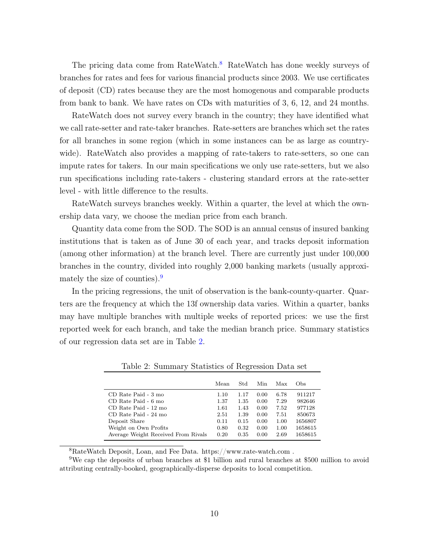The pricing data come from RateWatch.<sup>[8](#page-10-0)</sup> RateWatch has done weekly surveys of branches for rates and fees for various financial products since 2003. We use certificates of deposit (CD) rates because they are the most homogenous and comparable products from bank to bank. We have rates on CDs with maturities of 3, 6, 12, and 24 months.

RateWatch does not survey every branch in the country; they have identified what we call rate-setter and rate-taker branches. Rate-setters are branches which set the rates for all branches in some region (which in some instances can be as large as countrywide). RateWatch also provides a mapping of rate-takers to rate-setters, so one can impute rates for takers. In our main specifications we only use rate-setters, but we also run specifications including rate-takers - clustering standard errors at the rate-setter level - with little difference to the results.

RateWatch surveys branches weekly. Within a quarter, the level at which the ownership data vary, we choose the median price from each branch.

Quantity data come from the SOD. The SOD is an annual census of insured banking institutions that is taken as of June 30 of each year, and tracks deposit information (among other information) at the branch level. There are currently just under 100,000 branches in the country, divided into roughly 2,000 banking markets (usually approxi-mately the size of counties).<sup>[9](#page-10-1)</sup>

In the pricing regressions, the unit of observation is the bank-county-quarter. Quarters are the frequency at which the 13f ownership data varies. Within a quarter, banks may have multiple branches with multiple weeks of reported prices: we use the first reported week for each branch, and take the median branch price. Summary statistics of our regression data set are in Table [2.](#page-10-2)

|                                                                                                                                      | Mean                                         | Std                                          | Min                                          | Max                                          | Obs.                                                       |
|--------------------------------------------------------------------------------------------------------------------------------------|----------------------------------------------|----------------------------------------------|----------------------------------------------|----------------------------------------------|------------------------------------------------------------|
| CD Rate Paid - 3 mo<br>CD Rate Paid - 6 mo<br>CD Rate Paid - 12 mo<br>CD Rate Paid - 24 mo<br>Deposit Share<br>Weight on Own Profits | 1.10<br>1.37<br>1.61<br>2.51<br>0.11<br>0.80 | 1.17<br>1.35<br>1.43<br>1.39<br>0.15<br>0.32 | 0.00<br>0.00<br>0.00<br>0.00<br>0.00<br>0.00 | 6.78<br>7.29<br>7.52<br>7.51<br>1.00<br>1.00 | 911217<br>982646<br>977128<br>850673<br>1656807<br>1658615 |
| Average Weight Received From Rivals                                                                                                  | 0.20                                         | 0.35                                         | 0.00                                         | 2.69                                         | 1658615                                                    |

<span id="page-10-2"></span>Table 2: Summary Statistics of Regression Data set

<span id="page-10-1"></span><span id="page-10-0"></span><sup>8</sup>RateWatch Deposit, Loan, and Fee Data. https://www.rate-watch.com .

<sup>9</sup>We cap the deposits of urban branches at \$1 billion and rural branches at \$500 million to avoid attributing centrally-booked, geographically-disperse deposits to local competition.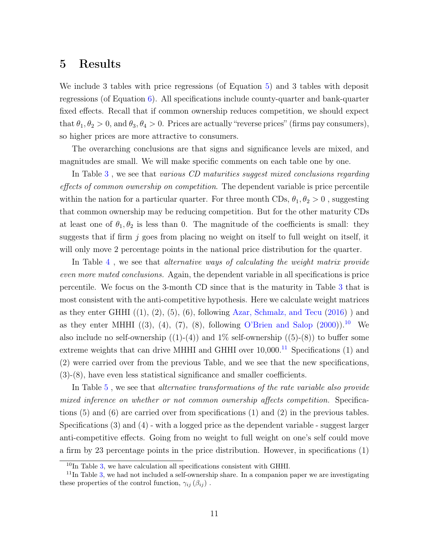#### 5 Results

We include 3 tables with price regressions (of Equation [5\)](#page-7-3) and 3 tables with deposit regressions (of Equation [6\)](#page-7-3). All specifications include county-quarter and bank-quarter fixed effects. Recall that if common ownership reduces competition, we should expect that  $\theta_1, \theta_2 > 0$ , and  $\theta_3, \theta_4 > 0$ . Prices are actually "reverse prices" (firms pay consumers), so higher prices are more attractive to consumers.

The overarching conclusions are that signs and significance levels are mixed, and magnitudes are small. We will make specific comments on each table one by one.

In Table [3](#page-14-0) , we see that various CD maturities suggest mixed conclusions regarding effects of common ownership on competition. The dependent variable is price percentile within the nation for a particular quarter. For three month CDs,  $\theta_1, \theta_2 > 0$ , suggesting that common ownership may be reducing competition. But for the other maturity CDs at least one of  $\theta_1, \theta_2$  is less than 0. The magnitude of the coefficients is small: they suggests that if firm  $j$  goes from placing no weight on itself to full weight on itself, it will only move 2 percentage points in the national price distribution for the quarter.

In Table [4](#page-15-0) , we see that alternative ways of calculating the weight matrix provide even more muted conclusions. Again, the dependent variable in all specifications is price percentile. We focus on the 3-month CD since that is the maturity in Table [3](#page-14-0) that is most consistent with the anti-competitive hypothesis. Here we calculate weight matrices as they enter GHHI  $((1), (2), (5), (6)$ , following [Azar, Schmalz, and Tecu](#page-20-1)  $(2016)$  ) and as they enter MHHI  $((3), (4), (7), (8),$  following [O'Brien and Salop](#page-21-3)  $(2000)$ ).<sup>[10](#page-11-0)</sup> We also include no self-ownership  $((1)-(4))$  and  $1\%$  self-ownership  $((5)-(8))$  to buffer some extreme weights that can drive MHHI and GHHI over  $10,000$ .<sup>[11](#page-11-1)</sup> Specifications (1) and (2) were carried over from the previous Table, and we see that the new specifications, (3)-(8), have even less statistical significance and smaller coefficients.

In Table [5](#page-16-0), we see that *alternative transformations of the rate variable also provide* mixed inference on whether or not common ownership affects competition. Specifications (5) and (6) are carried over from specifications (1) and (2) in the previous tables. Specifications (3) and (4) - with a logged price as the dependent variable - suggest larger anti-competitive effects. Going from no weight to full weight on one's self could move a firm by 23 percentage points in the price distribution. However, in specifications (1)

<span id="page-11-1"></span><span id="page-11-0"></span> $10$ In Table [3,](#page-14-0) we have calculation all specifications consistent with GHHI.

 $11$ In Table [3,](#page-14-0) we had not included a self-ownership share. In a companion paper we are investigating these properties of the control function,  $\gamma_{ij}$  ( $\beta_{ij}$ ).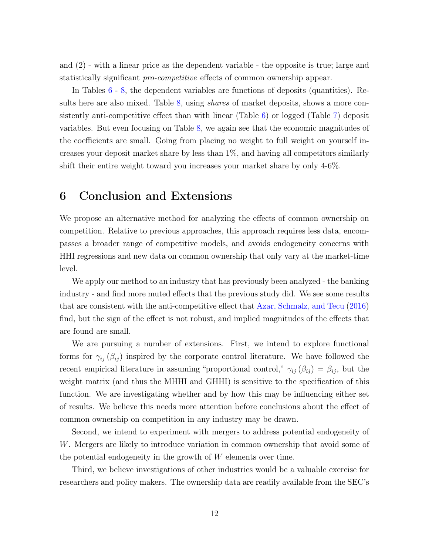and (2) - with a linear price as the dependent variable - the opposite is true; large and statistically significant pro-competitive effects of common ownership appear.

In Tables [6](#page-17-0) - [8,](#page-19-0) the dependent variables are functions of deposits (quantities). Re-sults here are also mixed. Table [8,](#page-19-0) using *shares* of market deposits, shows a more consistently anti-competitive effect than with linear (Table [6\)](#page-17-0) or logged (Table [7\)](#page-18-0) deposit variables. But even focusing on Table [8,](#page-19-0) we again see that the economic magnitudes of the coefficients are small. Going from placing no weight to full weight on yourself increases your deposit market share by less than 1%, and having all competitors similarly shift their entire weight toward you increases your market share by only 4-6%.

#### 6 Conclusion and Extensions

We propose an alternative method for analyzing the effects of common ownership on competition. Relative to previous approaches, this approach requires less data, encompasses a broader range of competitive models, and avoids endogeneity concerns with HHI regressions and new data on common ownership that only vary at the market-time level.

We apply our method to an industry that has previously been analyzed - the banking industry - and find more muted effects that the previous study did. We see some results that are consistent with the anti-competitive effect that [Azar, Schmalz, and Tecu](#page-20-1) [\(2016\)](#page-20-1) find, but the sign of the effect is not robust, and implied magnitudes of the effects that are found are small.

We are pursuing a number of extensions. First, we intend to explore functional forms for  $\gamma_{ij}$  ( $\beta_{ij}$ ) inspired by the corporate control literature. We have followed the recent empirical literature in assuming "proportional control,"  $\gamma_{ij} (\beta_{ij}) = \beta_{ij}$ , but the weight matrix (and thus the MHHI and GHHI) is sensitive to the specification of this function. We are investigating whether and by how this may be influencing either set of results. We believe this needs more attention before conclusions about the effect of common ownership on competition in any industry may be drawn.

Second, we intend to experiment with mergers to address potential endogeneity of W. Mergers are likely to introduce variation in common ownership that avoid some of the potential endogeneity in the growth of W elements over time.

Third, we believe investigations of other industries would be a valuable exercise for researchers and policy makers. The ownership data are readily available from the SEC's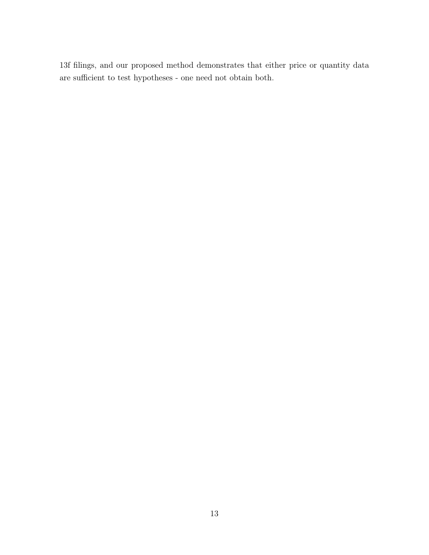13f filings, and our proposed method demonstrates that either price or quantity data are sufficient to test hypotheses - one need not obtain both.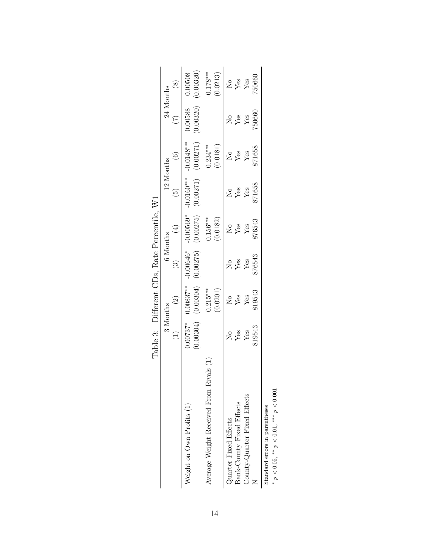<span id="page-14-0"></span>

|                                       | Table 3: Different CDs, Rate Percentile, W1                    |                           |                         |                                |                           |                                                     |                     |                         |
|---------------------------------------|----------------------------------------------------------------|---------------------------|-------------------------|--------------------------------|---------------------------|-----------------------------------------------------|---------------------|-------------------------|
|                                       | 3 Months                                                       |                           | 6 Months                |                                | 12 Months                 |                                                     | 24 Months           |                         |
|                                       | $\begin{array}{c}\n\begin{array}{c}\n\end{array}\n\end{array}$ | $\bigodot$                | $\odot$                 | $\left( \frac{1}{T} \right)$   | $\widehat{\mathfrak{S}}$  |                                                     |                     | $\left(8\right)$        |
| Neight on Own Profits (1)             | $0.00737*$<br>0.00304)                                         | $0.00837***$<br>(0.00304) | $-0.00646*$<br>0.00275) | $-0.00569*$<br>(0.00275)       | $-0.0160***$<br>(0.00271) | $\frac{(6)}{-0.0148***}$<br>(0.00271)               | 0.00320)<br>0.00588 | 0.00508<br>(0.00320)    |
| is<br>Average Weight Received From Ri |                                                                | $0.215***$<br>(0.0201)    |                         | $0.156***$<br>(0.0182)         |                           | $0.234***$<br>(0.0181)                              |                     | $-0.178***$<br>(0.0213) |
| Quarter Fixed Effects                 |                                                                |                           |                         | $\frac{\text{No}}{\text{Yes}}$ |                           |                                                     |                     |                         |
| Bank-County Fixed Effects             |                                                                | $\frac{1}{2}$ es<br>Yes   | $X_{HS}$<br>Yes         |                                | $X_{28}$<br>$Y_{28}$      | $X \overset{6}{\cancel{5}} \overset{8}{\cancel{5}}$ | $X_{28}$            | e<br>Ses<br>Yes         |
| County-Quarter Fixed Effects          | $X \times$                                                     |                           |                         |                                |                           |                                                     |                     |                         |
|                                       | 819543                                                         | \$19543                   | 376543                  | 376543                         | 871658                    | 871658                                              | 750660              | 750660                  |
| Standard errors in parentheses        |                                                                |                           |                         |                                |                           |                                                     |                     |                         |

|                               | r<br>C<br>C   |
|-------------------------------|---------------|
| tandard errors in parentheses | $***$<br>0.01 |
|                               |               |
|                               | $0.05.***$    |
|                               |               |

\*  $p < 0.05$ , \*\*  $p < 0.01$ , \*\*\*  $p < 0.001$ 

14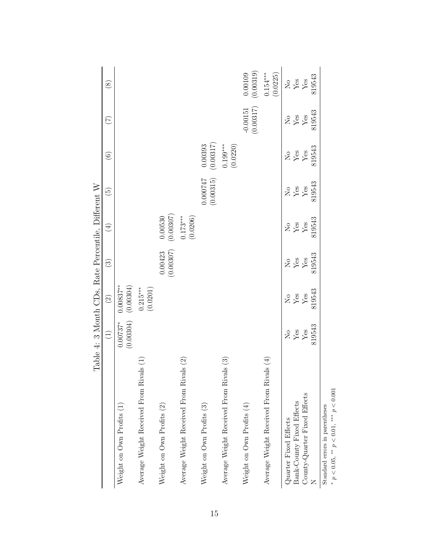<span id="page-15-0"></span>

|                                                                                  | Table 4: 3 Month CDs, Rate Percentile, Different W |                                                     |                                                     |                            |                                |                                   |                         |                        |
|----------------------------------------------------------------------------------|----------------------------------------------------|-----------------------------------------------------|-----------------------------------------------------|----------------------------|--------------------------------|-----------------------------------|-------------------------|------------------------|
|                                                                                  | $\bigoplus$                                        | $\widehat{c}$                                       | $\widehat{S}$                                       | $(\pm)$                    | $\widetilde{\mathbf{e}}$       | $\widehat{\mathbf{e}}$            | $(\zeta)$               | $\circledast$          |
| Weight on Own Profits (1)                                                        | (0.00304)<br>$0.00737*$                            | (0.00304)<br>$0.00837***$                           |                                                     |                            |                                |                                   |                         |                        |
| Average Weight Received From Rivals (1)                                          |                                                    | $0.215***$<br>(0.0201)                              |                                                     |                            |                                |                                   |                         |                        |
| Weight on Own Profits (2)                                                        |                                                    |                                                     | $(0.00423)$<br>$(0.00307)$                          | $(0.00530)$<br>$(0.00307)$ |                                |                                   |                         |                        |
| Average Weight Received From Rivals (2)                                          |                                                    |                                                     |                                                     | $0.173***$<br>(0.0206)     |                                |                                   |                         |                        |
| Weight on Own Profits (3)                                                        |                                                    |                                                     |                                                     |                            | 1.000747<br>(0.00315)          | $(0.00393$<br>$(0.00317)$         |                         |                        |
| Average Weight Received From Rivals (3)                                          |                                                    |                                                     |                                                     |                            |                                | (0.0220)<br>$0.199***$            |                         |                        |
| Weight on Own Profits $(4)$                                                      |                                                    |                                                     |                                                     |                            |                                |                                   | (0.00317)<br>$-0.00151$ | (0.00319)<br>0.00109   |
| Average Weight Received From Rivals (4)                                          |                                                    |                                                     |                                                     |                            |                                |                                   |                         | $0.154***$<br>(0.0225) |
| Quarter Fixed Effects                                                            | $_{\rm Yes}^{\rm No}$                              | $X \overset{6}{\cancel{2}} \overset{8}{\cancel{2}}$ | $X \overset{6}{\cancel{2}} \overset{8}{\cancel{2}}$ | $X_{BS}$                   | $\frac{\text{No}}{\text{Yes}}$ | $X \overset{6}{*} \overset{6}{*}$ | $288$<br>$Yes$          | $\overset{\circ}{X}$   |
| Bank-County Fixed Effects                                                        |                                                    |                                                     |                                                     |                            |                                |                                   |                         |                        |
| County-Quarter Fixed Effects                                                     | ${\rm Yes}$                                        |                                                     |                                                     |                            | $\rm Yes$                      |                                   |                         |                        |
|                                                                                  | 819543                                             | 819543                                              | 819543                                              | 819543                     | 819543                         | 819543                            | 819543                  | 819543                 |
| * $p < 0.05$ , ** $p < 0.01$ , *** $p < 0.001$<br>Standard errors in parentheses |                                                    |                                                     |                                                     |                            |                                |                                   |                         |                        |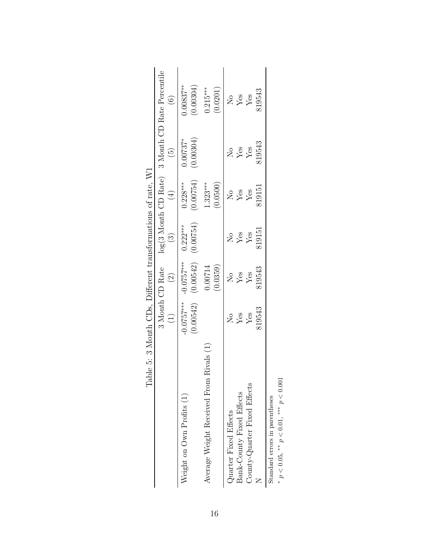<span id="page-16-0"></span>

| Table 5: 3 Month CDs, Different transformations of rate, W1 |                                             |                           |                                   |                            |                        |                                                                                                                            |
|-------------------------------------------------------------|---------------------------------------------|---------------------------|-----------------------------------|----------------------------|------------------------|----------------------------------------------------------------------------------------------------------------------------|
|                                                             |                                             | 3 Month CD Rate           |                                   |                            |                        | $\begin{tabular}{ll} \texttt{log(3 Month CD Rate)} & 3 Month CD Rate Percentage \\ (3) & (4) & (5) & (6) \\ \end{tabular}$ |
|                                                             | $\begin{array}{c}\n\text{(1)}\n\end{array}$ | $\boxed{2}$               |                                   |                            |                        |                                                                                                                            |
| Weight on $\alpha$ Profits $(1)$                            | $-0.0757***$<br>0.00542)                    | $-0.0757***$<br>(0.00542) | $($ 52.00 $($ 0 $)$<br>$0.222***$ | (0.00754)<br>$0.228***$    | 0.00304)<br>$0.00737*$ | $0.00837***$<br>(0.00304)                                                                                                  |
| Rivals (1)<br>Average Weight Received From                  |                                             | (0.0359)<br>0.00714       |                                   | $1.323***$<br>(0.0500)     |                        | $0.215***$<br>(0.0201)                                                                                                     |
| Quarter Fixed Effects                                       |                                             |                           |                                   |                            |                        |                                                                                                                            |
| Bank-County Fixed Effects                                   | $X_{BS}$<br>$Y_{CS}$                        | <b>Egg</b><br>Xeg         | $288$<br>$X_{08}$                 | $X_{\text{BS}}^{\text{O}}$ | $X_{\text{BS}}$<br>Yes | $X \overset{6}{\cancel{5}} \overset{8}{\cancel{5}}$                                                                        |
| County-Quarter Fixed Effects                                |                                             |                           |                                   |                            |                        |                                                                                                                            |
|                                                             | 319543                                      | 319543                    | 819151                            | 319151                     | 319543                 | 319543                                                                                                                     |
| Standard errors in parentheses                              |                                             |                           |                                   |                            |                        |                                                                                                                            |

|                   | ř<br>C<br>$\overline{1}$                                                                     |
|-------------------|----------------------------------------------------------------------------------------------|
|                   | .<br>Christian                                                                               |
|                   |                                                                                              |
|                   |                                                                                              |
|                   |                                                                                              |
|                   |                                                                                              |
|                   |                                                                                              |
|                   |                                                                                              |
|                   |                                                                                              |
|                   |                                                                                              |
|                   | ֖֖֖֖֖֖֖֖ׅ֪ׅ֖ׅ֖ׅ֪ׅ֖֧ׅ֖֧֪֪֪ׅ֖֧֪ׅ֪֪֪֪֪֪֪֪֪֪֪֪֪֪֪֪֪֪֪֪֪֪֪֪֪֪֪֪֪֪֪֚֚֚֚֚֚֚֚֚֚֚֚֚֚֚֚֚֚֚֚֚֚֚֚֚֬֝֝֓֞֝ |
|                   |                                                                                              |
|                   | į                                                                                            |
|                   |                                                                                              |
|                   |                                                                                              |
|                   |                                                                                              |
|                   |                                                                                              |
|                   |                                                                                              |
|                   |                                                                                              |
|                   |                                                                                              |
|                   |                                                                                              |
|                   |                                                                                              |
|                   |                                                                                              |
|                   | Ï                                                                                            |
|                   |                                                                                              |
|                   |                                                                                              |
|                   |                                                                                              |
|                   | י<br>גוב                                                                                     |
|                   |                                                                                              |
| $\frac{1}{\zeta}$ |                                                                                              |
|                   |                                                                                              |
|                   |                                                                                              |
|                   |                                                                                              |
|                   |                                                                                              |
|                   |                                                                                              |
|                   | コートマー                                                                                        |
|                   |                                                                                              |
|                   |                                                                                              |
|                   |                                                                                              |
|                   | $\overline{\phantom{a}}$                                                                     |
|                   |                                                                                              |
|                   |                                                                                              |
| í                 |                                                                                              |
|                   |                                                                                              |
|                   |                                                                                              |
| l                 | $\ddot{\phantom{0}}$                                                                         |

16

 $*$   $p$   $<$   $0.05,$   $^{**}$   $p$   $<$   $0.01,$   $^{***}$   $p$   $<$   $0.001$ \*  $p < 0.05$ , \*\*  $p < 0.01$ , \*\*\*  $p < 0.001$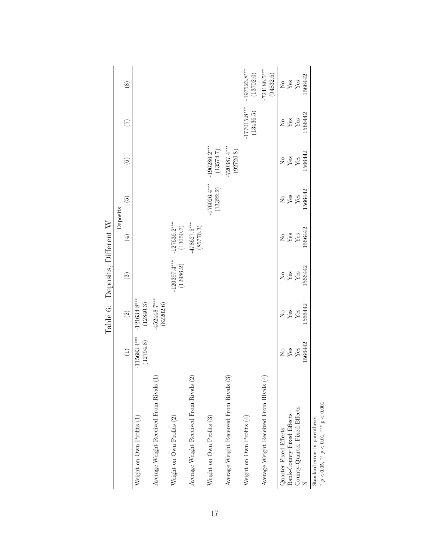<span id="page-17-0"></span>

|                                                                                |                             | Table 6:                    | Deposits, Different W       |                             |                             |                             |                             |                             |
|--------------------------------------------------------------------------------|-----------------------------|-----------------------------|-----------------------------|-----------------------------|-----------------------------|-----------------------------|-----------------------------|-----------------------------|
|                                                                                |                             |                             |                             | Deposits                    |                             |                             |                             |                             |
|                                                                                | $\widehat{\Xi}$             | $\odot$                     | $\odot$                     | $\bigoplus$                 | $\widetilde{\Theta}$        | $\odot$                     | $\widetilde{C}$             | $\circledS$                 |
| Weight on Own Profits (1)                                                      | $-115683.4***$<br>(12794.8) | $-121634.8***$<br>(12840.3) |                             |                             |                             |                             |                             |                             |
| Average Weight Received From Rivals (1                                         |                             | $-452448.7***$<br>(82202.6) |                             |                             |                             |                             |                             |                             |
| Weight on Own Profits (2)                                                      |                             |                             | $-120397.4***$<br>(12986.2) | $-127636.2***$<br>(13050.7) |                             |                             |                             |                             |
| Average Weight Received From Rivals (2)                                        |                             |                             |                             | 478627.5***<br>(85776.3)    |                             |                             |                             |                             |
| Weight on Own Profits (3)                                                      |                             |                             |                             |                             | $-176026.4***$<br>(13322.2) | $-196286.2***$<br>(13574.7) |                             |                             |
| Average Weight Received From Rivals (3)                                        |                             |                             |                             |                             |                             | $-720387.4***$<br>(92720.8) |                             |                             |
| Weight on Own Profits (4)                                                      |                             |                             |                             |                             |                             |                             | $-177015.8***$<br>(13436.5) | $-197523.8***$<br>(13702.0) |
| Average Weight Received From Rivals (4                                         |                             |                             |                             |                             |                             |                             |                             | $-724186.5***$<br>(94832.6) |
| Quarter Fixed Effects                                                          |                             |                             |                             |                             |                             |                             |                             |                             |
| Bank-County Fixed Effects                                                      | $X_{\text{BS}}$<br>Yes      | $\frac{1}{Y}$ es            | $X_{\text{BS}}$<br>Yes      | $X_{BS}$<br>Yes             | $X_{\text{BS}}$<br>Yes      | $288$<br>Yes                | $X_{\text{BS}}$<br>Yes      | $\frac{1}{Y}$ es            |
| County-Quarter Fixed Effects                                                   |                             |                             |                             |                             |                             |                             |                             |                             |
|                                                                                | 1566442                     | 1566442                     | 1566442                     | 1566442                     | 1566442                     | 1566442                     | 1566442                     | 1566442                     |
| $p < 0.05$ , ** $p < 0.01$ , *** $p < 0.001$<br>Standard errors in parentheses |                             |                             |                             |                             |                             |                             |                             |                             |

17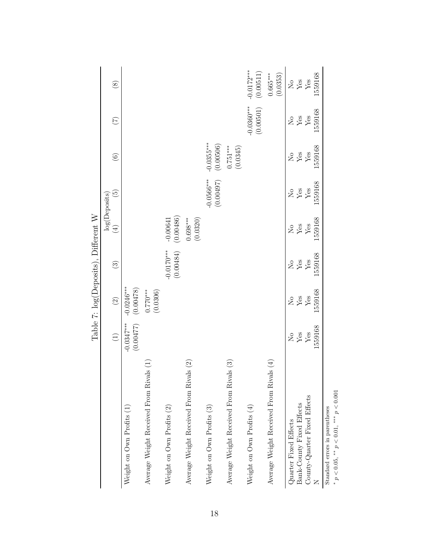<span id="page-18-0"></span>

|                                                                                  |                                        |                                        | Table 7: log(Deposits), Different W    |                           |                                        |                           |                                        |                           |
|----------------------------------------------------------------------------------|----------------------------------------|----------------------------------------|----------------------------------------|---------------------------|----------------------------------------|---------------------------|----------------------------------------|---------------------------|
|                                                                                  | $\begin{array}{c} \square \end{array}$ | $\widehat{c}$                          | $\odot$                                | $\left( \pm \right)$      | $\widetilde{5}$<br>log(Deposits)       | $\odot$                   | $\begin{pmatrix} 7 \end{pmatrix}$      | $\circledast$             |
| Weight on $\alpha$ Profits $(1)$                                                 | $-0.0347***$<br>(0.00477)              | $-0.0246***$<br>(0.00478)              |                                        |                           |                                        |                           |                                        |                           |
| Average Weight Received From Rivals (1)                                          |                                        | $0.770***$<br>(0.0306)                 |                                        |                           |                                        |                           |                                        |                           |
| Weight on Own Profits (2)                                                        |                                        |                                        | $-0.0170***$<br>(0.00484)              | $-0.00641$<br>$(0.00486)$ |                                        |                           |                                        |                           |
| Average Weight Received From Rivals (2)                                          |                                        |                                        |                                        | $0.698***$<br>(0.0320)    |                                        |                           |                                        |                           |
| Weight on Own Profits (3)                                                        |                                        |                                        |                                        |                           | $-0.0566***$<br>(0.00497)              | $-0.0355***$<br>(0.00506) |                                        |                           |
| Average Weight Received From Rivals (3)                                          |                                        |                                        |                                        |                           |                                        | $0.751***$<br>(0.0345)    |                                        |                           |
| Weight on Own Profits $(4)$                                                      |                                        |                                        |                                        |                           |                                        |                           | $-0.0360***$<br>(0.00501)              | $-0.0172***$<br>(0.00511) |
| Average Weight Received From Rivals (4)                                          |                                        |                                        |                                        |                           |                                        |                           |                                        | (0.0353)<br>$0.665***$    |
| Quarter Fixed Effects                                                            | $\rm _{NO}$                            | $\rm _{N}^{\circ}$                     | $\rm _{N}^{\circ}$                     | $\rm _{N}^{\circ}$        | $\rm _{N}^{\circ}$                     | $_{\rm Yes}^{\rm No}$     | $_{\rm Yes}^{\rm No}$                  | $_{\rm Yes}^{\rm No}$     |
| Bank-County Fixed Effects                                                        | $\mathbf{Yes}$                         | $\mathbf{Yes}$                         | $\mathbf{Y}\mathsf{es}$                | $\rm Yes$                 | ${\rm \widetilde{Y}_{\rm \acute{e}s}}$ |                           |                                        |                           |
| County-Quarter Fixed Effects                                                     | 1559168<br>$\ensuremath{\mathrm{Yes}}$ | 1559168<br>$\ensuremath{\mathrm{Yes}}$ | 1559168<br>$\ensuremath{\mathrm{Yes}}$ | 1559168<br>${\rm Yes}$    | 1559168                                | 1559168<br>$\rm Yes$      | 1559168<br>$\ensuremath{\mathrm{Yes}}$ | 1559168<br>${\rm Yes}$    |
| * $p < 0.05$ , ** $p < 0.01$ , *** $p < 0.001$<br>Standard errors in parentheses |                                        |                                        |                                        |                           |                                        |                           |                                        |                           |
|                                                                                  |                                        |                                        |                                        |                           |                                        |                           |                                        |                           |

18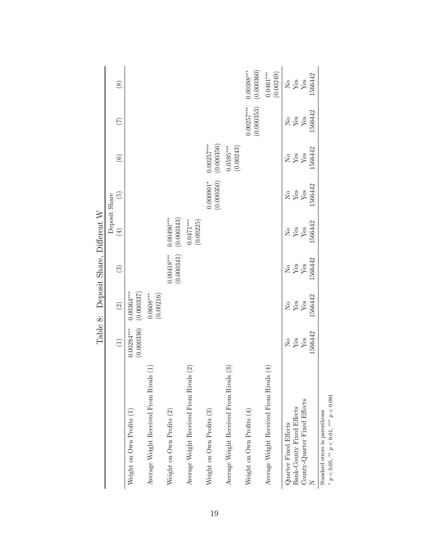<span id="page-19-0"></span>

|                                                                                  | Table 8:                                                                                                                                                                                                                                                                                                            |                            | Deposit Share, Different W                                                                                                                                                                                                                                                                                          |                            |                                  |                                                                                                                                                                                                                                                                                                                     |                                                                                                                                                                                                                                                                                                                     |                                               |
|----------------------------------------------------------------------------------|---------------------------------------------------------------------------------------------------------------------------------------------------------------------------------------------------------------------------------------------------------------------------------------------------------------------|----------------------------|---------------------------------------------------------------------------------------------------------------------------------------------------------------------------------------------------------------------------------------------------------------------------------------------------------------------|----------------------------|----------------------------------|---------------------------------------------------------------------------------------------------------------------------------------------------------------------------------------------------------------------------------------------------------------------------------------------------------------------|---------------------------------------------------------------------------------------------------------------------------------------------------------------------------------------------------------------------------------------------------------------------------------------------------------------------|-----------------------------------------------|
|                                                                                  | $\begin{pmatrix} 1 \end{pmatrix}$                                                                                                                                                                                                                                                                                   | $\circled{2}$              | $\odot$                                                                                                                                                                                                                                                                                                             | $\bigoplus$                | $\widetilde{E}$<br>Deposit Share | $\begin{array}{c} \textcircled{\small{6}} \end{array}$                                                                                                                                                                                                                                                              | $\widetilde{C}$                                                                                                                                                                                                                                                                                                     | $\circledast$                                 |
| Weight on Own Profits (1)                                                        | (0.000336)<br>$0.00284***$                                                                                                                                                                                                                                                                                          | (0.000337)<br>$0.00364***$ |                                                                                                                                                                                                                                                                                                                     |                            |                                  |                                                                                                                                                                                                                                                                                                                     |                                                                                                                                                                                                                                                                                                                     |                                               |
| Ξ<br>Average Weight Received From Rivals                                         |                                                                                                                                                                                                                                                                                                                     | (0.00216)<br>$0.0608***$   |                                                                                                                                                                                                                                                                                                                     |                            |                                  |                                                                                                                                                                                                                                                                                                                     |                                                                                                                                                                                                                                                                                                                     |                                               |
| Weight on Own Profits (2)                                                        |                                                                                                                                                                                                                                                                                                                     |                            | $0.00418***$<br>(0.000341)                                                                                                                                                                                                                                                                                          | (0.000343)<br>$0.00490***$ |                                  |                                                                                                                                                                                                                                                                                                                     |                                                                                                                                                                                                                                                                                                                     |                                               |
| Average Weight Received From Rivals (2)                                          |                                                                                                                                                                                                                                                                                                                     |                            |                                                                                                                                                                                                                                                                                                                     | $0.0471***$<br>(0.00225)   |                                  |                                                                                                                                                                                                                                                                                                                     |                                                                                                                                                                                                                                                                                                                     |                                               |
| Weight on Own Profits (3)                                                        |                                                                                                                                                                                                                                                                                                                     |                            |                                                                                                                                                                                                                                                                                                                     |                            | (0.000350)<br>$0.000901*$        | $0.00257***$<br>(0.000356)                                                                                                                                                                                                                                                                                          |                                                                                                                                                                                                                                                                                                                     |                                               |
| Average Weight Received From Rivals (3)                                          |                                                                                                                                                                                                                                                                                                                     |                            |                                                                                                                                                                                                                                                                                                                     |                            |                                  | $0.0595***$<br>(0.00243)                                                                                                                                                                                                                                                                                            |                                                                                                                                                                                                                                                                                                                     |                                               |
| Weight on Own Profits $(4)$                                                      |                                                                                                                                                                                                                                                                                                                     |                            |                                                                                                                                                                                                                                                                                                                     |                            |                                  |                                                                                                                                                                                                                                                                                                                     | $0.00257***$<br>(0.000353)                                                                                                                                                                                                                                                                                          | $0.00388***$<br>(0.000360)                    |
| Average Weight Received From Rivals (4)                                          |                                                                                                                                                                                                                                                                                                                     |                            |                                                                                                                                                                                                                                                                                                                     |                            |                                  |                                                                                                                                                                                                                                                                                                                     |                                                                                                                                                                                                                                                                                                                     | $0.0461***$<br>(0.00249)                      |
| Quarter Fixed Effects                                                            |                                                                                                                                                                                                                                                                                                                     |                            |                                                                                                                                                                                                                                                                                                                     |                            |                                  |                                                                                                                                                                                                                                                                                                                     |                                                                                                                                                                                                                                                                                                                     |                                               |
| Bank-County Fixed Effects                                                        | $\frac{1}{2}$ $\frac{1}{2}$ $\frac{1}{2}$ $\frac{1}{2}$ $\frac{1}{2}$ $\frac{1}{2}$ $\frac{1}{2}$ $\frac{1}{2}$ $\frac{1}{2}$ $\frac{1}{2}$ $\frac{1}{2}$ $\frac{1}{2}$ $\frac{1}{2}$ $\frac{1}{2}$ $\frac{1}{2}$ $\frac{1}{2}$ $\frac{1}{2}$ $\frac{1}{2}$ $\frac{1}{2}$ $\frac{1}{2}$ $\frac{1}{2}$ $\frac{1}{2}$ | $\frac{1}{Y}$ es           | $\frac{1}{2}$ $\frac{1}{2}$ $\frac{1}{2}$ $\frac{1}{2}$ $\frac{1}{2}$ $\frac{1}{2}$ $\frac{1}{2}$ $\frac{1}{2}$ $\frac{1}{2}$ $\frac{1}{2}$ $\frac{1}{2}$ $\frac{1}{2}$ $\frac{1}{2}$ $\frac{1}{2}$ $\frac{1}{2}$ $\frac{1}{2}$ $\frac{1}{2}$ $\frac{1}{2}$ $\frac{1}{2}$ $\frac{1}{2}$ $\frac{1}{2}$ $\frac{1}{2}$ | $\frac{1}{Y}$ es           | $\frac{\text{No}}{\text{Yes}}$   | $\frac{1}{2}$ $\frac{1}{2}$ $\frac{1}{2}$ $\frac{1}{2}$ $\frac{1}{2}$ $\frac{1}{2}$ $\frac{1}{2}$ $\frac{1}{2}$ $\frac{1}{2}$ $\frac{1}{2}$ $\frac{1}{2}$ $\frac{1}{2}$ $\frac{1}{2}$ $\frac{1}{2}$ $\frac{1}{2}$ $\frac{1}{2}$ $\frac{1}{2}$ $\frac{1}{2}$ $\frac{1}{2}$ $\frac{1}{2}$ $\frac{1}{2}$ $\frac{1}{2}$ | $\frac{1}{2}$ $\frac{1}{2}$ $\frac{1}{2}$ $\frac{1}{2}$ $\frac{1}{2}$ $\frac{1}{2}$ $\frac{1}{2}$ $\frac{1}{2}$ $\frac{1}{2}$ $\frac{1}{2}$ $\frac{1}{2}$ $\frac{1}{2}$ $\frac{1}{2}$ $\frac{1}{2}$ $\frac{1}{2}$ $\frac{1}{2}$ $\frac{1}{2}$ $\frac{1}{2}$ $\frac{1}{2}$ $\frac{1}{2}$ $\frac{1}{2}$ $\frac{1}{2}$ | $\frac{\text{N}_\text{0}}{\text{Y}_\text{0}}$ |
| County-Quarter Fixed Effects                                                     |                                                                                                                                                                                                                                                                                                                     |                            |                                                                                                                                                                                                                                                                                                                     |                            | ${\rm Yes}$                      |                                                                                                                                                                                                                                                                                                                     |                                                                                                                                                                                                                                                                                                                     |                                               |
|                                                                                  | 1566442                                                                                                                                                                                                                                                                                                             | 1566442                    | 566442                                                                                                                                                                                                                                                                                                              | 1566442                    | 566442                           | 1566442                                                                                                                                                                                                                                                                                                             | 566442                                                                                                                                                                                                                                                                                                              | 566442                                        |
| * $p < 0.05$ , ** $p < 0.01$ , *** $p < 0.001$<br>Standard errors in parentheses |                                                                                                                                                                                                                                                                                                                     |                            |                                                                                                                                                                                                                                                                                                                     |                            |                                  |                                                                                                                                                                                                                                                                                                                     |                                                                                                                                                                                                                                                                                                                     |                                               |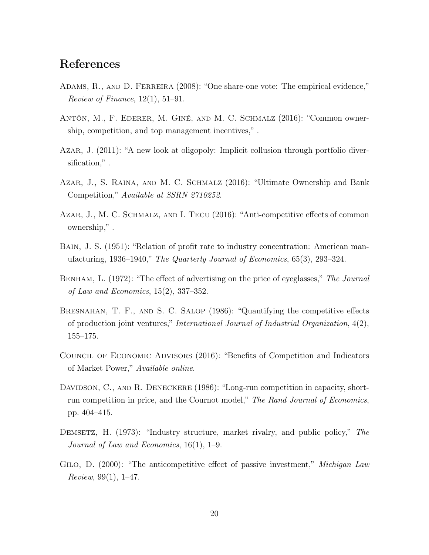# References

- <span id="page-20-11"></span>Adams, R., and D. Ferreira (2008): "One share-one vote: The empirical evidence," Review of Finance,  $12(1)$ ,  $51-91$ .
- <span id="page-20-4"></span>Antón, M., F. Ederer, M. Giné, and M. C. Schmalz (2016): "Common ownership, competition, and top management incentives," .
- <span id="page-20-6"></span>Azar, J. (2011): "A new look at oligopoly: Implicit collusion through portfolio diversification," .
- <span id="page-20-2"></span>Azar, J., S. Raina, and M. C. Schmalz (2016): "Ultimate Ownership and Bank Competition," Available at SSRN 2710252.
- <span id="page-20-1"></span>Azar, J., M. C. Schmalz, and I. Tecu (2016): "Anti-competitive effects of common ownership," .
- <span id="page-20-7"></span>BAIN, J. S. (1951): "Relation of profit rate to industry concentration: American manufacturing, 1936–1940," The Quarterly Journal of Economics, 65(3), 293–324.
- <span id="page-20-8"></span>BENHAM, L. (1972): "The effect of advertising on the price of eyeglasses," The Journal of Law and Economics, 15(2), 337–352.
- <span id="page-20-0"></span>BRESNAHAN, T. F., AND S. C. SALOP (1986): "Quantifying the competitive effects of production joint ventures," International Journal of Industrial Organization, 4(2), 155–175.
- <span id="page-20-3"></span>Council of Economic Advisors (2016): "Benefits of Competition and Indicators of Market Power," Available online.
- <span id="page-20-10"></span>DAVIDSON, C., AND R. DENECKERE (1986): "Long-run competition in capacity, shortrun competition in price, and the Cournot model," The Rand Journal of Economics, pp. 404–415.
- <span id="page-20-9"></span>DEMSETZ, H. (1973): "Industry structure, market rivalry, and public policy," The Journal of Law and Economics, 16(1), 1–9.
- <span id="page-20-5"></span>GILO, D. (2000): "The anticompetitive effect of passive investment," *Michigan Law* Review, 99 $(1)$ , 1–47.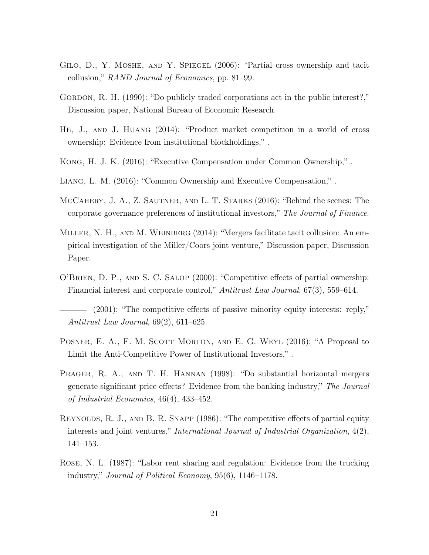- <span id="page-21-6"></span>Gilo, D., Y. Moshe, and Y. Spiegel (2006): "Partial cross ownership and tacit collusion," RAND Journal of Economics, pp. 81–99.
- <span id="page-21-4"></span>GORDON, R. H. (1990): "Do publicly traded corporations act in the public interest?," Discussion paper, National Bureau of Economic Research.
- <span id="page-21-12"></span>He, J., and J. Huang (2014): "Product market competition in a world of cross ownership: Evidence from institutional blockholdings," .
- <span id="page-21-2"></span>Kong, H. J. K. (2016): "Executive Compensation under Common Ownership," .
- <span id="page-21-11"></span>Liang, L. M. (2016): "Common Ownership and Executive Compensation," .
- <span id="page-21-10"></span>McCahery, J. A., Z. Sautner, and L. T. Starks (2016): "Behind the scenes: The corporate governance preferences of institutional investors," The Journal of Finance.
- <span id="page-21-9"></span>MILLER, N. H., AND M. WEINBERG (2014): "Mergers facilitate tacit collusion: An empirical investigation of the Miller/Coors joint venture," Discussion paper, Discussion Paper.
- <span id="page-21-3"></span>O'Brien, D. P., and S. C. Salop (2000): "Competitive effects of partial ownership: Financial interest and corporate control," Antitrust Law Journal, 67(3), 559–614.

- <span id="page-21-1"></span>POSNER, E. A., F. M. SCOTT MORTON, AND E. G. WEYL (2016): "A Proposal to Limit the Anti-Competitive Power of Institutional Investors," .
- <span id="page-21-8"></span>Prager, R. A., and T. H. Hannan (1998): "Do substantial horizontal mergers generate significant price effects? Evidence from the banking industry," The Journal of Industrial Economics, 46(4), 433–452.
- <span id="page-21-0"></span>Reynolds, R. J., and B. R. Snapp (1986): "The competitive effects of partial equity interests and joint ventures," *International Journal of Industrial Organization*,  $4(2)$ , 141–153.
- <span id="page-21-7"></span>Rose, N. L. (1987): "Labor rent sharing and regulation: Evidence from the trucking industry," Journal of Political Economy, 95(6), 1146–1178.

<span id="page-21-5"></span><sup>(2001): &</sup>quot;The competitive effects of passive minority equity interests: reply," Antitrust Law Journal, 69(2), 611–625.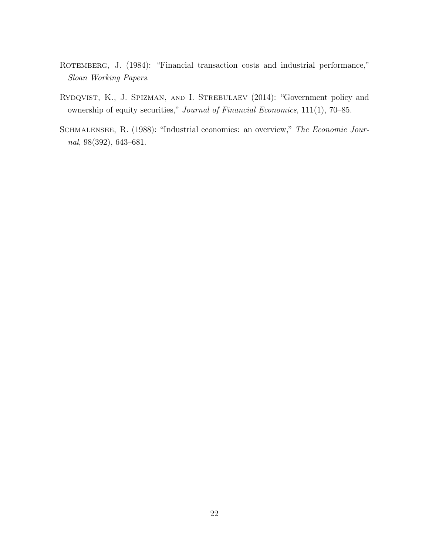- <span id="page-22-1"></span>ROTEMBERG, J. (1984): "Financial transaction costs and industrial performance," Sloan Working Papers.
- <span id="page-22-2"></span>RYDQVIST, K., J. SPIZMAN, AND I. STREBULAEV (2014): "Government policy and ownership of equity securities," Journal of Financial Economics, 111(1), 70–85.
- <span id="page-22-0"></span>SCHMALENSEE, R. (1988): "Industrial economics: an overview," The Economic Journal, 98(392), 643–681.